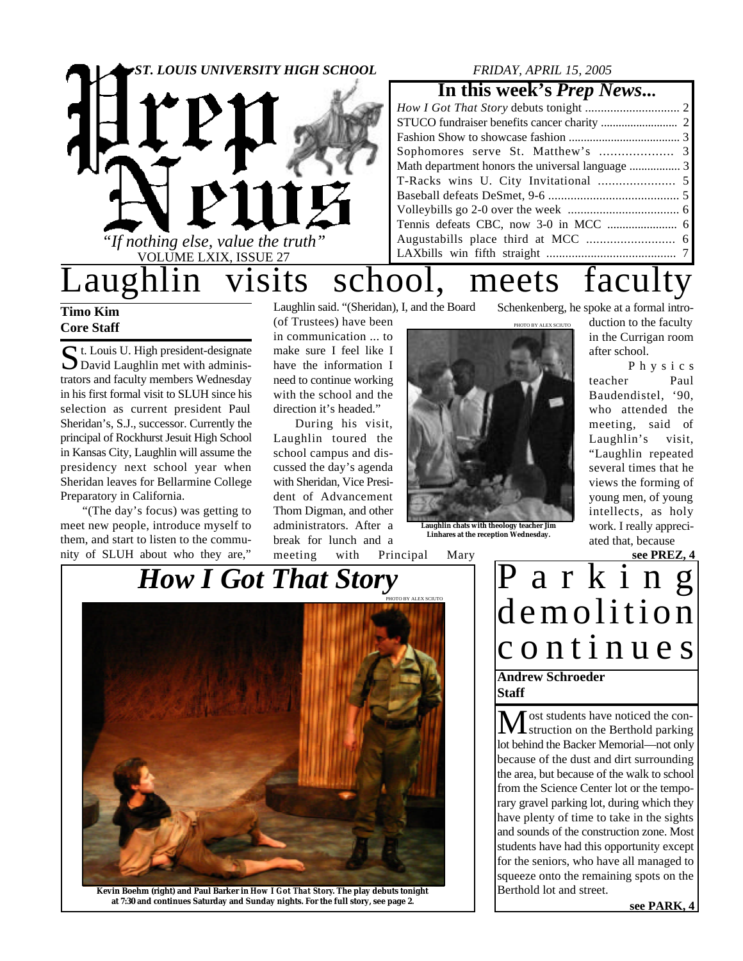

## **Timo Kim Core Staff**

 $S$ t. Louis U. High president-designate<br>David Laughlin met with adminis-David Laughlin met with administrators and faculty members Wednesday in his first formal visit to SLUH since his selection as current president Paul Sheridan's, S.J., successor. Currently the principal of Rockhurst Jesuit High School in Kansas City, Laughlin will assume the presidency next school year when Sheridan leaves for Bellarmine College Preparatory in California.

"(The day's focus) was getting to meet new people, introduce myself to them, and start to listen to the community of SLUH about who they are,"

Laughlin said. "(Sheridan), I, and the Board

(of Trustees) have been in communication ... to make sure I feel like I have the information I need to continue working with the school and the direction it's headed."

During his visit, Laughlin toured the school campus and discussed the day's agenda with Sheridan, Vice President of Advancement Thom Digman, and other administrators. After a break for lunch and a

**Laughlin chats with theology teacher Jim Linhares at the reception Wednesday.**

meeting with Principal Mary

Schenkenberg, he spoke at a formal intro-

PHOTO BY ALEX SCIUTO

duction to the faculty in the Currigan room after school.

P h y s i c s teacher Paul Baudendistel, '90, who attended the meeting, said of Laughlin's visit, "Laughlin repeated several times that he views the forming of young men, of young intellects, as holy work. I really appreciated that, because

**see PREZ, 4**



**Kevin Boehm (right) and Paul Barker in** *How I Got That Story***. The play debuts tonight at 7:30 and continues Saturday and Sunday nights. For the full story, see page 2.**

P a r k i n g demolition c o n t i n u e s **Andrew Schroeder**

**Staff**

ost students have noticed the con-**I** struction on the Berthold parking lot behind the Backer Memorial—not only because of the dust and dirt surrounding the area, but because of the walk to school from the Science Center lot or the temporary gravel parking lot, during which they have plenty of time to take in the sights and sounds of the construction zone. Most students have had this opportunity except for the seniors, who have all managed to squeeze onto the remaining spots on the Berthold lot and street.

**see PARK, 4**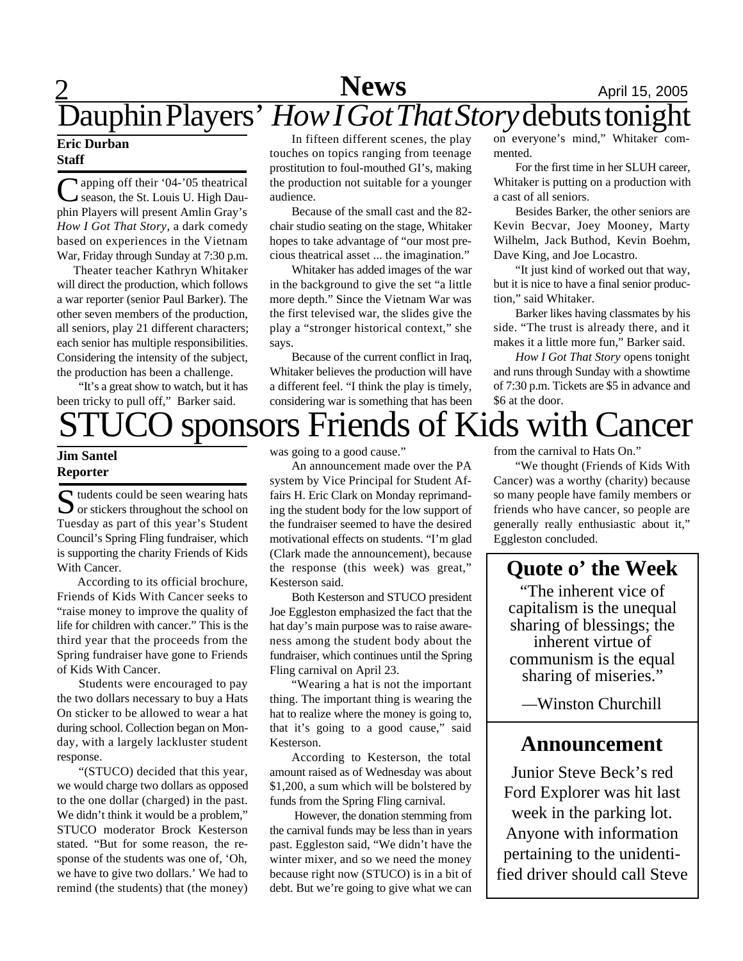## **2** April 15, 2005 **News** Dauphin Players' *How I Got That Story*debuts tonight

### **Eric Durban Staff**

C apping off their '04-'05 theatrical<br>
C season, the St. Louis U. High Dauapping off their '04-'05 theatrical phin Players will present Amlin Gray's *How I Got That Story*, a dark comedy based on experiences in the Vietnam War, Friday through Sunday at 7:30 p.m.

 Theater teacher Kathryn Whitaker will direct the production, which follows a war reporter (senior Paul Barker). The other seven members of the production, all seniors, play 21 different characters; each senior has multiple responsibilities. Considering the intensity of the subject, the production has been a challenge.

"It's a great show to watch, but it has been tricky to pull off," Barker said.

In fifteen different scenes, the play touches on topics ranging from teenage prostitution to foul-mouthed GI's, making the production not suitable for a younger audience.

Because of the small cast and the 82 chair studio seating on the stage, Whitaker hopes to take advantage of "our most precious theatrical asset ... the imagination."

Whitaker has added images of the war in the background to give the set "a little more depth." Since the Vietnam War was the first televised war, the slides give the play a "stronger historical context," she says.

Because of the current conflict in Iraq, Whitaker believes the production will have a different feel. "I think the play is timely, considering war is something that has been

on everyone's mind," Whitaker commented.

For the first time in her SLUH career, Whitaker is putting on a production with a cast of all seniors.

Besides Barker, the other seniors are Kevin Becvar, Joey Mooney, Marty Wilhelm, Jack Buthod, Kevin Boehm, Dave King, and Joe Locastro.

"It just kind of worked out that way, but it is nice to have a final senior production," said Whitaker.

Barker likes having classmates by his side. "The trust is already there, and it makes it a little more fun," Barker said.

*How I Got That Story* opens tonight and runs through Sunday with a showtime of 7:30 p.m. Tickets are \$5 in advance and \$6 at the door.

# sponsors Friends of Kids with Cancer

## **Jim Santel Reporter**

S tudents could be seen wearing hats<br>or stickers throughout the school on  $\bigcup$  or stickers throughout the school on Tuesday as part of this year's Student Council's Spring Fling fundraiser, which is supporting the charity Friends of Kids With Cancer.

According to its official brochure, Friends of Kids With Cancer seeks to "raise money to improve the quality of life for children with cancer." This is the third year that the proceeds from the Spring fundraiser have gone to Friends of Kids With Cancer.

Students were encouraged to pay the two dollars necessary to buy a Hats On sticker to be allowed to wear a hat during school. Collection began on Monday, with a largely lackluster student response.

"(STUCO) decided that this year, we would charge two dollars as opposed to the one dollar (charged) in the past. We didn't think it would be a problem," STUCO moderator Brock Kesterson stated. "But for some reason, the response of the students was one of, 'Oh, we have to give two dollars.' We had to remind (the students) that (the money) was going to a good cause."

An announcement made over the PA system by Vice Principal for Student Affairs H. Eric Clark on Monday reprimanding the student body for the low support of the fundraiser seemed to have the desired motivational effects on students. "I'm glad (Clark made the announcement), because the response (this week) was great," Kesterson said.

Both Kesterson and STUCO president Joe Eggleston emphasized the fact that the hat day's main purpose was to raise awareness among the student body about the fundraiser, which continues until the Spring Fling carnival on April 23.

"Wearing a hat is not the important thing. The important thing is wearing the hat to realize where the money is going to, that it's going to a good cause," said Kesterson.

According to Kesterson, the total amount raised as of Wednesday was about \$1,200, a sum which will be bolstered by funds from the Spring Fling carnival.

 However, the donation stemming from the carnival funds may be less than in years past. Eggleston said, "We didn't have the winter mixer, and so we need the money because right now (STUCO) is in a bit of debt. But we're going to give what we can from the carnival to Hats On."

"We thought (Friends of Kids With Cancer) was a worthy (charity) because so many people have family members or friends who have cancer, so people are generally really enthusiastic about it," Eggleston concluded.

## **Quote o' the Week**

"The inherent vice of capitalism is the unequal sharing of blessings; the inherent virtue of communism is the equal sharing of miseries."

*—*Winston Churchill

## **Announcement**

Junior Steve Beck's red Ford Explorer was hit last week in the parking lot. Anyone with information pertaining to the unidentified driver should call Steve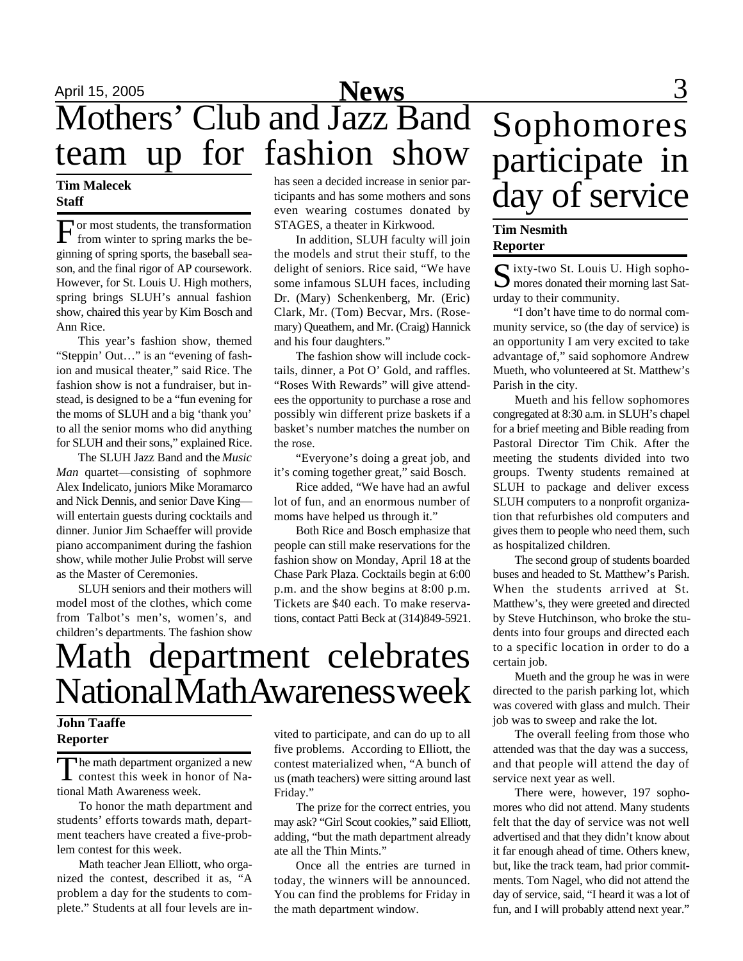# April 15, 2005 **News** 3 Mothers' Club and Jazz Band team up for fashion show

### **Tim Malecek Staff**

F or most students, the transformation from winter to spring marks the beginning of spring sports, the baseball season, and the final rigor of AP coursework. However, for St. Louis U. High mothers, spring brings SLUH's annual fashion show, chaired this year by Kim Bosch and Ann Rice.

This year's fashion show, themed "Steppin' Out…" is an "evening of fashion and musical theater," said Rice. The fashion show is not a fundraiser, but instead, is designed to be a "fun evening for the moms of SLUH and a big 'thank you' to all the senior moms who did anything for SLUH and their sons," explained Rice.

The SLUH Jazz Band and the *Music Man* quartet—consisting of sophmore Alex Indelicato, juniors Mike Moramarco and Nick Dennis, and senior Dave King will entertain guests during cocktails and dinner. Junior Jim Schaeffer will provide piano accompaniment during the fashion show, while mother Julie Probst will serve as the Master of Ceremonies.

SLUH seniors and their mothers will model most of the clothes, which come from Talbot's men's, women's, and children's departments. The fashion show has seen a decided increase in senior participants and has some mothers and sons even wearing costumes donated by STAGES, a theater in Kirkwood.

In addition, SLUH faculty will join the models and strut their stuff, to the delight of seniors. Rice said, "We have some infamous SLUH faces, including Dr. (Mary) Schenkenberg, Mr. (Eric) Clark, Mr. (Tom) Becvar, Mrs. (Rosemary) Queathem, and Mr. (Craig) Hannick and his four daughters."

The fashion show will include cocktails, dinner, a Pot O' Gold, and raffles. "Roses With Rewards" will give attendees the opportunity to purchase a rose and possibly win different prize baskets if a basket's number matches the number on the rose.

"Everyone's doing a great job, and it's coming together great," said Bosch.

Rice added, "We have had an awful lot of fun, and an enormous number of moms have helped us through it."

Both Rice and Bosch emphasize that people can still make reservations for the fashion show on Monday, April 18 at the Chase Park Plaza. Cocktails begin at 6:00 p.m. and the show begins at 8:00 p.m. Tickets are \$40 each. To make reservations, contact Patti Beck at (314)849-5921.

# Sophomores participate in day of service

## **Tim Nesmith Reporter**

Sixty-two St. Louis U. High sopho-<br>
Simores donated their morning last Sat-**M** mores donated their morning last Saturday to their community.

"I don't have time to do normal community service, so (the day of service) is an opportunity I am very excited to take advantage of," said sophomore Andrew Mueth, who volunteered at St. Matthew's Parish in the city.

Mueth and his fellow sophomores congregated at 8:30 a.m. in SLUH's chapel for a brief meeting and Bible reading from Pastoral Director Tim Chik. After the meeting the students divided into two groups. Twenty students remained at SLUH to package and deliver excess SLUH computers to a nonprofit organization that refurbishes old computers and gives them to people who need them, such as hospitalized children.

The second group of students boarded buses and headed to St. Matthew's Parish. When the students arrived at St. Matthew's, they were greeted and directed by Steve Hutchinson, who broke the students into four groups and directed each to a specific location in order to do a certain job.

Mueth and the group he was in were directed to the parish parking lot, which was covered with glass and mulch. Their job was to sweep and rake the lot.

The overall feeling from those who attended was that the day was a success, and that people will attend the day of service next year as well.

There were, however, 197 sophomores who did not attend. Many students felt that the day of service was not well advertised and that they didn't know about it far enough ahead of time. Others knew, but, like the track team, had prior commitments. Tom Nagel, who did not attend the day of service, said, "I heard it was a lot of fun, and I will probably attend next year."

# Math department celebrates National Math Awareness week

## **John Taaffe Reporter**

The math department organized a new<br>contest this week in honor of Na-The math department organized a new tional Math Awareness week.

To honor the math department and students' efforts towards math, department teachers have created a five-problem contest for this week.

Math teacher Jean Elliott, who organized the contest, described it as, "A problem a day for the students to complete." Students at all four levels are invited to participate, and can do up to all five problems. According to Elliott, the contest materialized when, "A bunch of us (math teachers) were sitting around last Friday."

The prize for the correct entries, you may ask? "Girl Scout cookies," said Elliott, adding, "but the math department already ate all the Thin Mints."

Once all the entries are turned in today, the winners will be announced. You can find the problems for Friday in the math department window.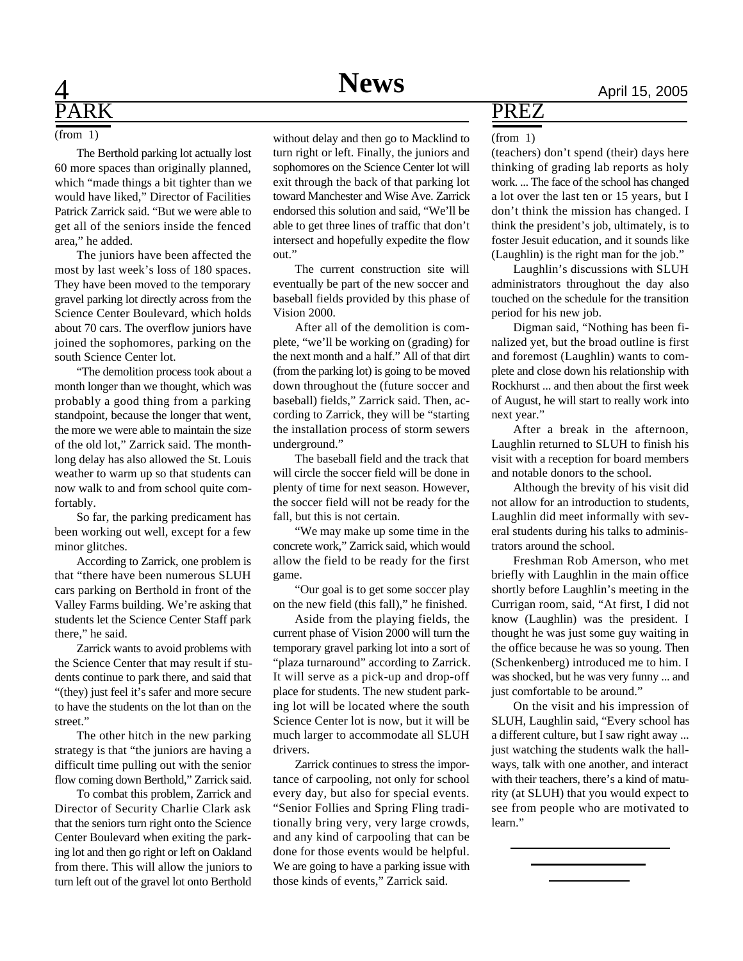## 4 **News** April 15, 2005 R<sub>K</sub>

The Berthold parking lot actually lost 60 more spaces than originally planned, which "made things a bit tighter than we would have liked," Director of Facilities Patrick Zarrick said. "But we were able to get all of the seniors inside the fenced area," he added.

The juniors have been affected the most by last week's loss of 180 spaces. They have been moved to the temporary gravel parking lot directly across from the Science Center Boulevard, which holds about 70 cars. The overflow juniors have joined the sophomores, parking on the south Science Center lot.

"The demolition process took about a month longer than we thought, which was probably a good thing from a parking standpoint, because the longer that went, the more we were able to maintain the size of the old lot," Zarrick said. The monthlong delay has also allowed the St. Louis weather to warm up so that students can now walk to and from school quite comfortably.

So far, the parking predicament has been working out well, except for a few minor glitches.

According to Zarrick, one problem is that "there have been numerous SLUH cars parking on Berthold in front of the Valley Farms building. We're asking that students let the Science Center Staff park there," he said.

Zarrick wants to avoid problems with the Science Center that may result if students continue to park there, and said that "(they) just feel it's safer and more secure to have the students on the lot than on the street."

The other hitch in the new parking strategy is that "the juniors are having a difficult time pulling out with the senior flow coming down Berthold," Zarrick said.

To combat this problem, Zarrick and Director of Security Charlie Clark ask that the seniors turn right onto the Science Center Boulevard when exiting the parking lot and then go right or left on Oakland from there. This will allow the juniors to turn left out of the gravel lot onto Berthold

(from 1) without delay and then go to Macklind to turn right or left. Finally, the juniors and sophomores on the Science Center lot will exit through the back of that parking lot toward Manchester and Wise Ave. Zarrick endorsed this solution and said, "We'll be able to get three lines of traffic that don't intersect and hopefully expedite the flow out."

> The current construction site will eventually be part of the new soccer and baseball fields provided by this phase of Vision 2000.

> After all of the demolition is complete, "we'll be working on (grading) for the next month and a half." All of that dirt (from the parking lot) is going to be moved down throughout the (future soccer and baseball) fields," Zarrick said. Then, according to Zarrick, they will be "starting the installation process of storm sewers underground."

> The baseball field and the track that will circle the soccer field will be done in plenty of time for next season. However, the soccer field will not be ready for the fall, but this is not certain.

> "We may make up some time in the concrete work," Zarrick said, which would allow the field to be ready for the first game.

> "Our goal is to get some soccer play on the new field (this fall)," he finished.

Aside from the playing fields, the current phase of Vision 2000 will turn the temporary gravel parking lot into a sort of "plaza turnaround" according to Zarrick. It will serve as a pick-up and drop-off place for students. The new student parking lot will be located where the south Science Center lot is now, but it will be much larger to accommodate all SLUH drivers.

Zarrick continues to stress the importance of carpooling, not only for school every day, but also for special events. "Senior Follies and Spring Fling traditionally bring very, very large crowds, and any kind of carpooling that can be done for those events would be helpful. We are going to have a parking issue with those kinds of events," Zarrick said.

## PREZ

### (from 1)

(teachers) don't spend (their) days here thinking of grading lab reports as holy work. ... The face of the school has changed a lot over the last ten or 15 years, but I don't think the mission has changed. I think the president's job, ultimately, is to foster Jesuit education, and it sounds like (Laughlin) is the right man for the job."

Laughlin's discussions with SLUH administrators throughout the day also touched on the schedule for the transition period for his new job.

Digman said, "Nothing has been finalized yet, but the broad outline is first and foremost (Laughlin) wants to complete and close down his relationship with Rockhurst ... and then about the first week of August, he will start to really work into next year."

After a break in the afternoon, Laughlin returned to SLUH to finish his visit with a reception for board members and notable donors to the school.

Although the brevity of his visit did not allow for an introduction to students, Laughlin did meet informally with several students during his talks to administrators around the school.

Freshman Rob Amerson, who met briefly with Laughlin in the main office shortly before Laughlin's meeting in the Currigan room, said, "At first, I did not know (Laughlin) was the president. I thought he was just some guy waiting in the office because he was so young. Then (Schenkenberg) introduced me to him. I was shocked, but he was very funny ... and just comfortable to be around."

On the visit and his impression of SLUH, Laughlin said, "Every school has a different culture, but I saw right away ... just watching the students walk the hallways, talk with one another, and interact with their teachers, there's a kind of maturity (at SLUH) that you would expect to see from people who are motivated to learn."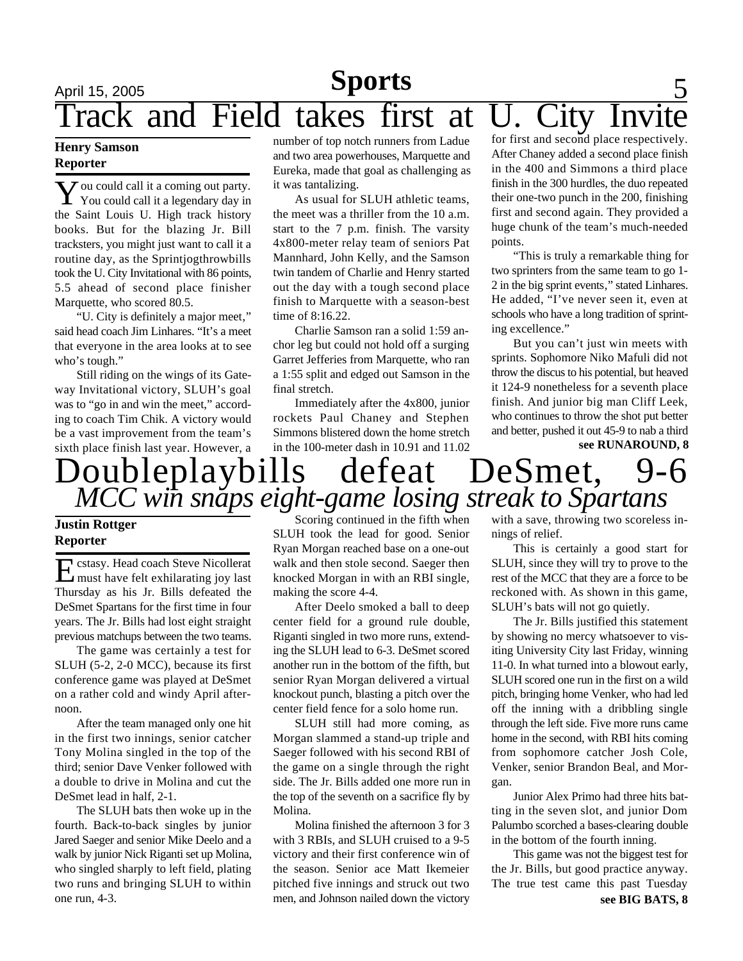## April 15, 2005 **Sports** 5 Track and Field takes first at U. City Invi **Sports**

## **Henry Samson Reporter**

**Y** ou could call it a coming out party.<br>You could call it a legendary day in  $\boldsymbol{\mathcal{J}}$  ou could call it a coming out party. the Saint Louis U. High track history books. But for the blazing Jr. Bill tracksters, you might just want to call it a routine day, as the Sprintjogthrowbills took the U. City Invitational with 86 points, 5.5 ahead of second place finisher Marquette, who scored 80.5.

"U. City is definitely a major meet," said head coach Jim Linhares. "It's a meet that everyone in the area looks at to see who's tough."

Still riding on the wings of its Gateway Invitational victory, SLUH's goal was to "go in and win the meet," according to coach Tim Chik. A victory would be a vast improvement from the team's sixth place finish last year. However, a

number of top notch runners from Ladue and two area powerhouses, Marquette and Eureka, made that goal as challenging as it was tantalizing.

As usual for SLUH athletic teams, the meet was a thriller from the 10 a.m. start to the 7 p.m. finish. The varsity 4x800-meter relay team of seniors Pat Mannhard, John Kelly, and the Samson twin tandem of Charlie and Henry started out the day with a tough second place finish to Marquette with a season-best time of 8:16.22.

Charlie Samson ran a solid 1:59 anchor leg but could not hold off a surging Garret Jefferies from Marquette, who ran a 1:55 split and edged out Samson in the final stretch.

Immediately after the 4x800, junior rockets Paul Chaney and Stephen Simmons blistered down the home stretch in the 100-meter dash in 10.91 and 11.02

for first and second place respectively. After Chaney added a second place finish in the 400 and Simmons a third place finish in the 300 hurdles, the duo repeated their one-two punch in the 200, finishing first and second again. They provided a huge chunk of the team's much-needed points.

"This is truly a remarkable thing for two sprinters from the same team to go 1- 2 in the big sprint events," stated Linhares. He added, "I've never seen it, even at schools who have a long tradition of sprinting excellence."

**see RUNAROUND, 8** But you can't just win meets with sprints. Sophomore Niko Mafuli did not throw the discus to his potential, but heaved it 124-9 nonetheless for a seventh place finish. And junior big man Cliff Leek, who continues to throw the shot put better and better, pushed it out 45-9 to nab a third

## Doubleplaybills defeat DeSmet, 9-6 *MCC win snaps eight-game losing streak to Spartans*

## **Justin Rottger Reporter**

Existasy. Head coach Steve Nicollerat<br>
must have felt exhilarating joy last must have felt exhilarating joy last Thursday as his Jr. Bills defeated the DeSmet Spartans for the first time in four years. The Jr. Bills had lost eight straight previous matchups between the two teams.

The game was certainly a test for SLUH (5-2, 2-0 MCC), because its first conference game was played at DeSmet on a rather cold and windy April afternoon.

After the team managed only one hit in the first two innings, senior catcher Tony Molina singled in the top of the third; senior Dave Venker followed with a double to drive in Molina and cut the DeSmet lead in half, 2-1.

The SLUH bats then woke up in the fourth. Back-to-back singles by junior Jared Saeger and senior Mike Deelo and a walk by junior Nick Riganti set up Molina, who singled sharply to left field, plating two runs and bringing SLUH to within one run, 4-3.

Scoring continued in the fifth when SLUH took the lead for good. Senior Ryan Morgan reached base on a one-out walk and then stole second. Saeger then knocked Morgan in with an RBI single, making the score 4-4.

After Deelo smoked a ball to deep center field for a ground rule double, Riganti singled in two more runs, extending the SLUH lead to 6-3. DeSmet scored another run in the bottom of the fifth, but senior Ryan Morgan delivered a virtual knockout punch, blasting a pitch over the center field fence for a solo home run.

SLUH still had more coming, as Morgan slammed a stand-up triple and Saeger followed with his second RBI of the game on a single through the right side. The Jr. Bills added one more run in the top of the seventh on a sacrifice fly by Molina.

Molina finished the afternoon 3 for 3 with 3 RBIs, and SLUH cruised to a 9-5 victory and their first conference win of the season. Senior ace Matt Ikemeier pitched five innings and struck out two men, and Johnson nailed down the victory

with a save, throwing two scoreless innings of relief.

This is certainly a good start for SLUH, since they will try to prove to the rest of the MCC that they are a force to be reckoned with. As shown in this game, SLUH's bats will not go quietly.

The Jr. Bills justified this statement by showing no mercy whatsoever to visiting University City last Friday, winning 11-0. In what turned into a blowout early, SLUH scored one run in the first on a wild pitch, bringing home Venker, who had led off the inning with a dribbling single through the left side. Five more runs came home in the second, with RBI hits coming from sophomore catcher Josh Cole, Venker, senior Brandon Beal, and Morgan.

Junior Alex Primo had three hits batting in the seven slot, and junior Dom Palumbo scorched a bases-clearing double in the bottom of the fourth inning.

This game was not the biggest test for the Jr. Bills, but good practice anyway. The true test came this past Tuesday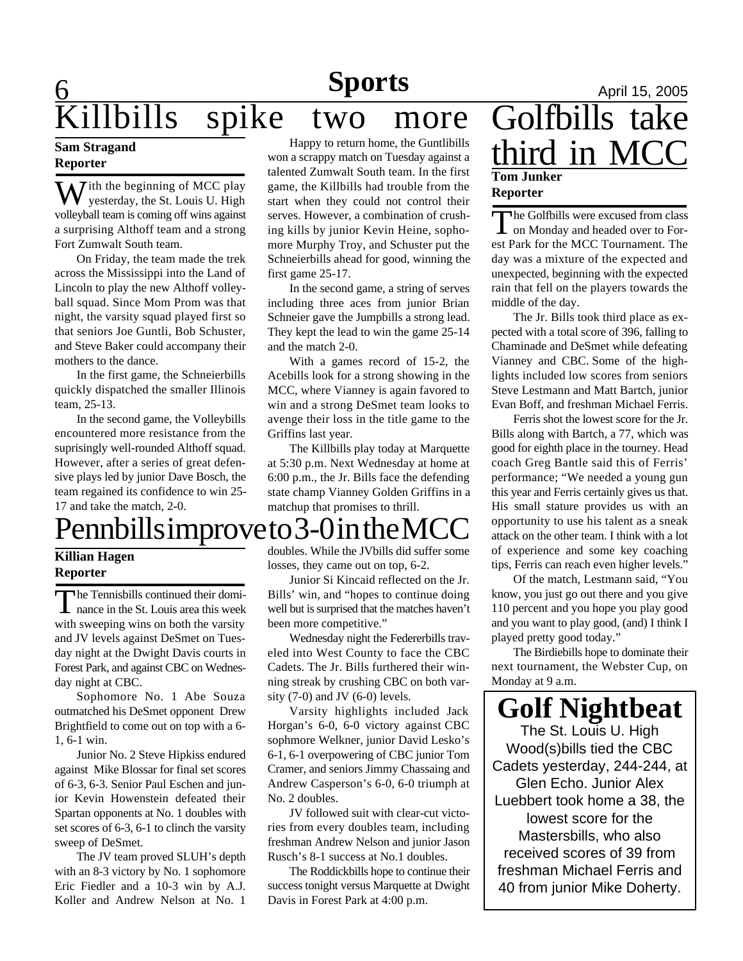# **6 News Sports April 15, 2005** illbills spike two more

## **Sam Stragand Reporter**

 $\sum$  ith the beginning of MCC play yesterday, the St. Louis U. High volleyball team is coming off wins against a surprising Althoff team and a strong Fort Zumwalt South team.

On Friday, the team made the trek across the Mississippi into the Land of Lincoln to play the new Althoff volleyball squad. Since Mom Prom was that night, the varsity squad played first so that seniors Joe Guntli, Bob Schuster, and Steve Baker could accompany their mothers to the dance.

In the first game, the Schneierbills quickly dispatched the smaller Illinois team, 25-13.

In the second game, the Volleybills encountered more resistance from the suprisingly well-rounded Althoff squad. However, after a series of great defensive plays led by junior Dave Bosch, the team regained its confidence to win 25- 17 and take the match, 2-0.

# Pennbills improve to 3-0 in the MCC

## **Killian Hagen Reporter**

The Tennisbills continued their dominance in the St. Louis area this week he Tennisbills continued their domiwith sweeping wins on both the varsity and JV levels against DeSmet on Tuesday night at the Dwight Davis courts in Forest Park, and against CBC on Wednesday night at CBC.

Sophomore No. 1 Abe Souza outmatched his DeSmet opponent Drew Brightfield to come out on top with a 6- 1, 6-1 win.

Junior No. 2 Steve Hipkiss endured against Mike Blossar for final set scores of 6-3, 6-3. Senior Paul Eschen and junior Kevin Howenstein defeated their Spartan opponents at No. 1 doubles with set scores of 6-3, 6-1 to clinch the varsity sweep of DeSmet.

The JV team proved SLUH's depth with an 8-3 victory by No. 1 sophomore Eric Fiedler and a 10-3 win by A.J. Koller and Andrew Nelson at No. 1

Happy to return home, the Guntlibills won a scrappy match on Tuesday against a talented Zumwalt South team. In the first game, the Killbills had trouble from the start when they could not control their serves. However, a combination of crushing kills by junior Kevin Heine, sophomore Murphy Troy, and Schuster put the Schneierbills ahead for good, winning the first game 25-17.

In the second game, a string of serves including three aces from junior Brian Schneier gave the Jumpbills a strong lead. They kept the lead to win the game 25-14 and the match 2-0.

With a games record of 15-2, the Acebills look for a strong showing in the MCC, where Vianney is again favored to win and a strong DeSmet team looks to avenge their loss in the title game to the Griffins last year.

The Killbills play today at Marquette at 5:30 p.m. Next Wednesday at home at 6:00 p.m., the Jr. Bills face the defending state champ Vianney Golden Griffins in a matchup that promises to thrill.

doubles. While the JVbills did suffer some losses, they came out on top, 6-2.

Junior Si Kincaid reflected on the Jr. Bills' win, and "hopes to continue doing well but is surprised that the matches haven't been more competitive."

Wednesday night the Federerbills traveled into West County to face the CBC Cadets. The Jr. Bills furthered their winning streak by crushing CBC on both varsity  $(7-0)$  and JV  $(6-0)$  levels.

Varsity highlights included Jack Horgan's 6-0, 6-0 victory against CBC sophmore Welkner, junior David Lesko's 6-1, 6-1 overpowering of CBC junior Tom Cramer, and seniors Jimmy Chassaing and Andrew Casperson's 6-0, 6-0 triumph at No. 2 doubles.

JV followed suit with clear-cut victories from every doubles team, including freshman Andrew Nelson and junior Jason Rusch's 8-1 success at No.1 doubles.

The Roddickbills hope to continue their success tonight versus Marquette at Dwight Davis in Forest Park at 4:00 p.m.

## **Tom Junker Reporter** Golfbills take third in MC

The Golfbills were excused from class<br>on Monday and headed over to Forhe Golfbills were excused from class est Park for the MCC Tournament. The day was a mixture of the expected and unexpected, beginning with the expected rain that fell on the players towards the middle of the day.

The Jr. Bills took third place as expected with a total score of 396, falling to Chaminade and DeSmet while defeating Vianney and CBC. Some of the highlights included low scores from seniors Steve Lestmann and Matt Bartch, junior Evan Boff, and freshman Michael Ferris.

Ferris shot the lowest score for the Jr. Bills along with Bartch, a 77, which was good for eighth place in the tourney. Head coach Greg Bantle said this of Ferris' performance; "We needed a young gun this year and Ferris certainly gives us that. His small stature provides us with an opportunity to use his talent as a sneak attack on the other team. I think with a lot of experience and some key coaching tips, Ferris can reach even higher levels."

Of the match, Lestmann said, "You know, you just go out there and you give 110 percent and you hope you play good and you want to play good, (and) I think I played pretty good today."

The Birdiebills hope to dominate their next tournament, the Webster Cup, on Monday at 9 a.m.

**Golf Nightbeat** The St. Louis U. High Wood(s)bills tied the CBC Cadets yesterday, 244-244, at Glen Echo. Junior Alex Luebbert took home a 38, the lowest score for the Mastersbills, who also received scores of 39 from freshman Michael Ferris and 40 from junior Mike Doherty.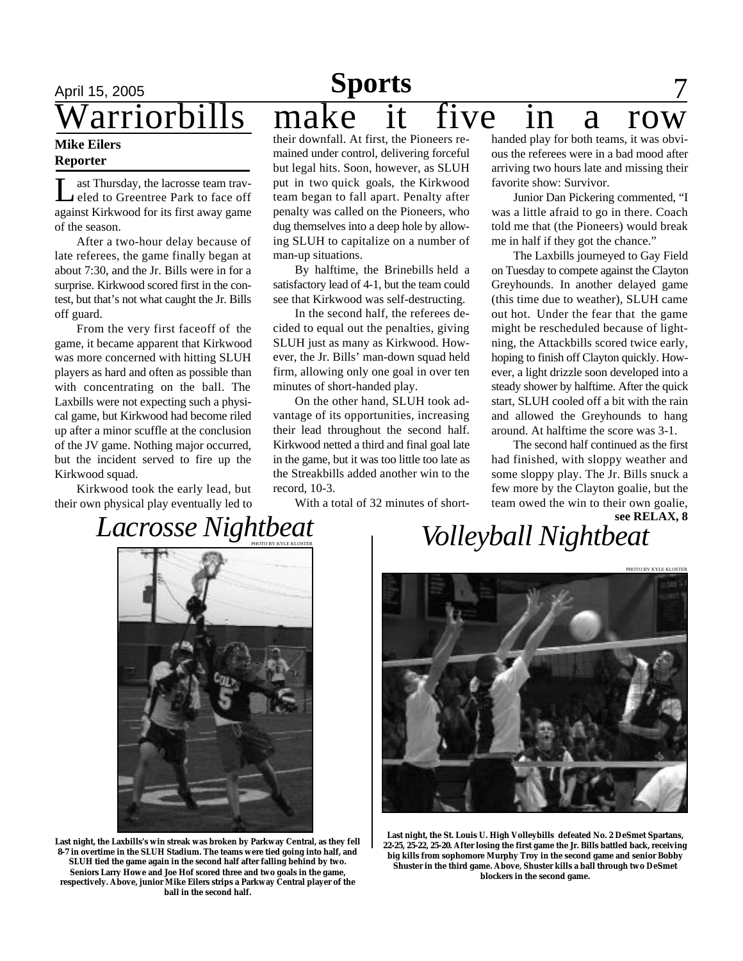### **Mike Eilers Reporter**

Let Thursday, the lacrosse team traveled to Greentree Park to face off against Kirkwood for its first away game ast Thursday, the lacrosse team traveled to Greentree Park to face off of the season.

After a two-hour delay because of late referees, the game finally began at about 7:30, and the Jr. Bills were in for a surprise. Kirkwood scored first in the contest, but that's not what caught the Jr. Bills off guard.

From the very first faceoff of the game, it became apparent that Kirkwood was more concerned with hitting SLUH players as hard and often as possible than with concentrating on the ball. The Laxbills were not expecting such a physical game, but Kirkwood had become riled up after a minor scuffle at the conclusion of the JV game. Nothing major occurred, but the incident served to fire up the Kirkwood squad.

Kirkwood took the early lead, but their own physical play eventually led to

# April 15, 2005 **Sports** 7 arriorbills make it five in a row

their downfall. At first, the Pioneers remained under control, delivering forceful but legal hits. Soon, however, as SLUH put in two quick goals, the Kirkwood team began to fall apart. Penalty after penalty was called on the Pioneers, who dug themselves into a deep hole by allowing SLUH to capitalize on a number of man-up situations.

By halftime, the Brinebills held a satisfactory lead of 4-1, but the team could see that Kirkwood was self-destructing.

In the second half, the referees decided to equal out the penalties, giving SLUH just as many as Kirkwood. However, the Jr. Bills' man-down squad held firm, allowing only one goal in over ten minutes of short-handed play.

On the other hand, SLUH took advantage of its opportunities, increasing their lead throughout the second half. Kirkwood netted a third and final goal late in the game, but it was too little too late as the Streakbills added another win to the record, 10-3.

With a total of 32 minutes of short-

handed play for both teams, it was obvious the referees were in a bad mood after arriving two hours late and missing their favorite show: Survivor.

Junior Dan Pickering commented, "I was a little afraid to go in there. Coach told me that (the Pioneers) would break me in half if they got the chance."

The Laxbills journeyed to Gay Field on Tuesday to compete against the Clayton Greyhounds. In another delayed game (this time due to weather), SLUH came out hot. Under the fear that the game might be rescheduled because of lightning, the Attackbills scored twice early, hoping to finish off Clayton quickly. However, a light drizzle soon developed into a steady shower by halftime. After the quick start, SLUH cooled off a bit with the rain and allowed the Greyhounds to hang around. At halftime the score was 3-1.

The second half continued as the first had finished, with sloppy weather and some sloppy play. The Jr. Bills snuck a few more by the Clayton goalie, but the team owed the win to their own goalie, **see RELAX, 8**

# *Lacrosse Nightbeat*

*Volleyball Nightbeat*



**Last night, the Laxbills's win streak was broken by Parkway Central, as they fell 8-7 in overtime in the SLUH Stadium. The teams were tied going into half, and SLUH tied the game again in the second half after falling behind by two. Seniors Larry Howe and Joe Hof scored three and two goals in the game, respectively. Above, junior Mike Eilers strips a Parkway Central player of the ball in the second half.**



**Last night, the St. Louis U. High Volleybills defeated No. 2 DeSmet Spartans, 22-25, 25-22, 25-20. After losing the first game the Jr. Bills battled back, receiving big kills from sophomore Murphy Troy in the second game and senior Bobby Shuster in the third game. Above, Shuster kills a ball through two DeSmet blockers in the second game.**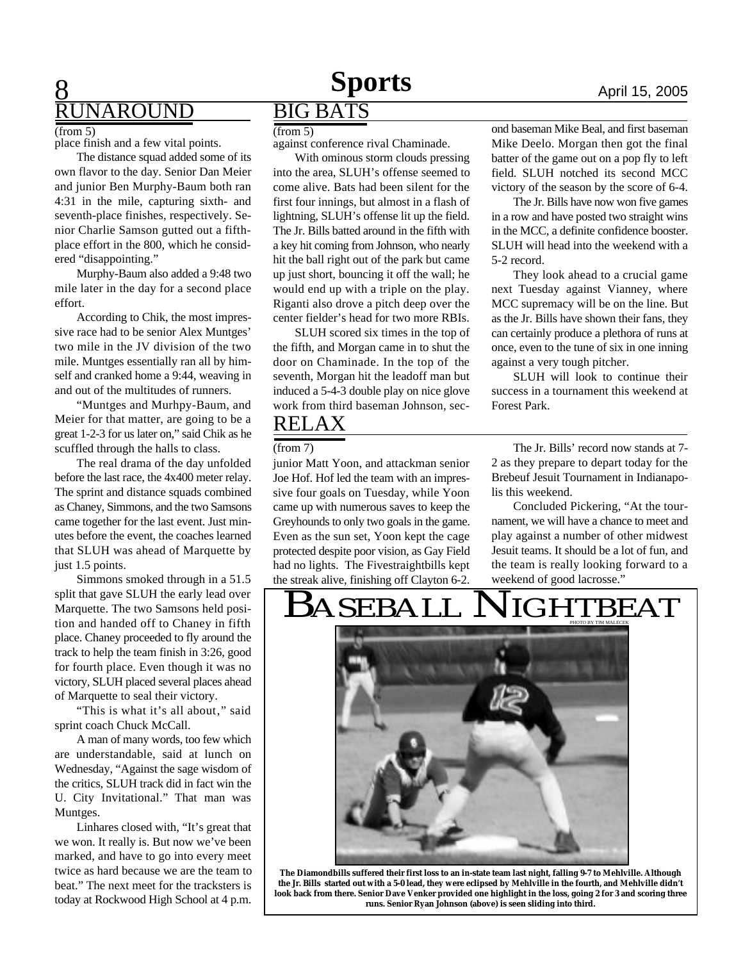## 8 **JNAROUND**

 $(from 5)$  (from 5)

place finish and a few vital points.

The distance squad added some of its own flavor to the day. Senior Dan Meier and junior Ben Murphy-Baum both ran 4:31 in the mile, capturing sixth- and seventh-place finishes, respectively. Senior Charlie Samson gutted out a fifthplace effort in the 800, which he considered "disappointing."

Murphy-Baum also added a 9:48 two mile later in the day for a second place effort.

According to Chik, the most impressive race had to be senior Alex Muntges' two mile in the JV division of the two mile. Muntges essentially ran all by himself and cranked home a 9:44, weaving in and out of the multitudes of runners.

"Muntges and Murhpy-Baum, and Meier for that matter, are going to be a great 1-2-3 for us later on," said Chik as he scuffled through the halls to class.

The real drama of the day unfolded before the last race, the 4x400 meter relay. The sprint and distance squads combined as Chaney, Simmons, and the two Samsons came together for the last event. Just minutes before the event, the coaches learned that SLUH was ahead of Marquette by just 1.5 points.

Simmons smoked through in a 51.5 split that gave SLUH the early lead over Marquette. The two Samsons held position and handed off to Chaney in fifth place. Chaney proceeded to fly around the track to help the team finish in 3:26, good for fourth place. Even though it was no victory, SLUH placed several places ahead of Marquette to seal their victory.

"This is what it's all about," said sprint coach Chuck McCall.

A man of many words, too few which are understandable, said at lunch on Wednesday, "Against the sage wisdom of the critics, SLUH track did in fact win the U. City Invitational." That man was Muntges.

Linhares closed with, "It's great that we won. It really is. But now we've been marked, and have to go into every meet twice as hard because we are the team to beat." The next meet for the tracksters is today at Rockwood High School at 4 p.m.

## BIG BATS

against conference rival Chaminade.

With ominous storm clouds pressing into the area, SLUH's offense seemed to come alive. Bats had been silent for the first four innings, but almost in a flash of lightning, SLUH's offense lit up the field. The Jr. Bills batted around in the fifth with a key hit coming from Johnson, who nearly hit the ball right out of the park but came up just short, bouncing it off the wall; he would end up with a triple on the play. Riganti also drove a pitch deep over the center fielder's head for two more RBIs.

SLUH scored six times in the top of the fifth, and Morgan came in to shut the door on Chaminade. In the top of the seventh, Morgan hit the leadoff man but induced a 5-4-3 double play on nice glove work from third baseman Johnson, sec-

## RELAX

### (from 7)

junior Matt Yoon, and attackman senior Joe Hof. Hof led the team with an impressive four goals on Tuesday, while Yoon came up with numerous saves to keep the Greyhounds to only two goals in the game. Even as the sun set, Yoon kept the cage protected despite poor vision, as Gay Field had no lights. The Fivestraightbills kept the streak alive, finishing off Clayton 6-2.

ond baseman Mike Beal, and first baseman Mike Deelo. Morgan then got the final batter of the game out on a pop fly to left field. SLUH notched its second MCC victory of the season by the score of 6-4.

The Jr. Bills have now won five games in a row and have posted two straight wins in the MCC, a definite confidence booster. SLUH will head into the weekend with a 5-2 record.

They look ahead to a crucial game next Tuesday against Vianney, where MCC supremacy will be on the line. But as the Jr. Bills have shown their fans, they can certainly produce a plethora of runs at once, even to the tune of six in one inning against a very tough pitcher.

SLUH will look to continue their success in a tournament this weekend at Forest Park.

The Jr. Bills' record now stands at 7- 2 as they prepare to depart today for the Brebeuf Jesuit Tournament in Indianapolis this weekend.

Concluded Pickering, "At the tournament, we will have a chance to meet and play against a number of other midwest Jesuit teams. It should be a lot of fun, and the team is really looking forward to a weekend of good lacrosse."

## BASEBALL NIGHTBEAT



**The Diamondbills suffered their first loss to an in-state team last night, falling 9-7 to Mehlville. Although the Jr. Bills started out with a 5-0 lead, they were eclipsed by Mehlville in the fourth, and Mehlville didn't look back from there. Senior Dave Venker provided one highlight in the loss, going 2 for 3 and scoring three runs. Senior Ryan Johnson (above) is seen sliding into third.**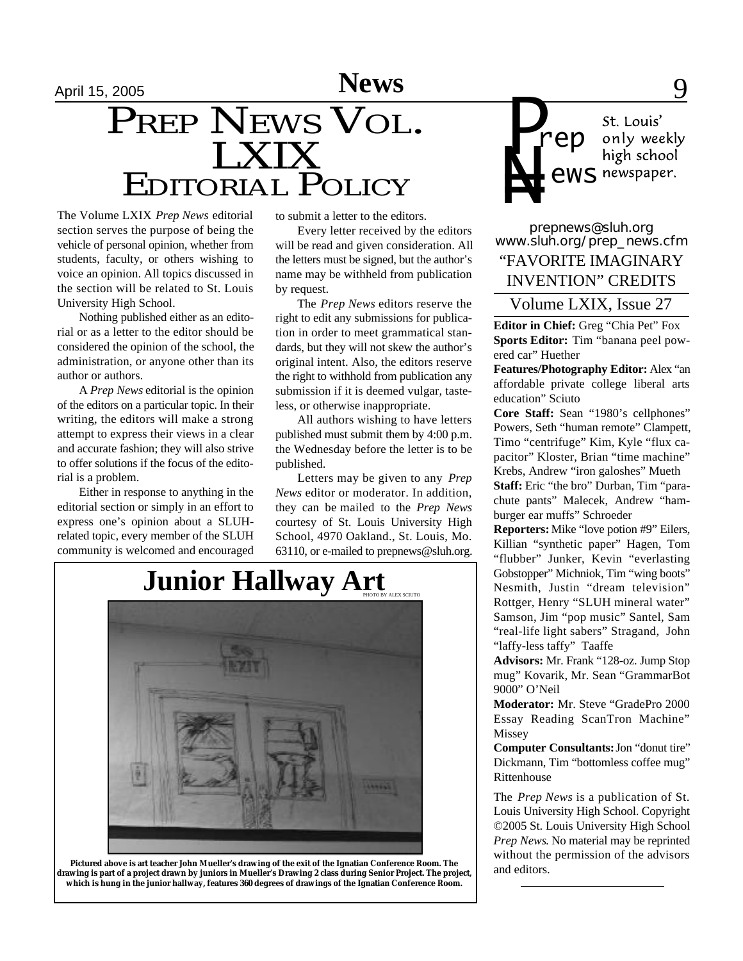# EDITORIAL POLICY PREP NEWS VOL. LXIX<br>--

The Volume LXIX *Prep News* editorial section serves the purpose of being the vehicle of personal opinion, whether from students, faculty, or others wishing to voice an opinion. All topics discussed in the section will be related to St. Louis University High School.

Nothing published either as an editorial or as a letter to the editor should be considered the opinion of the school, the administration, or anyone other than its author or authors.

A *Prep News* editorial is the opinion of the editors on a particular topic. In their writing, the editors will make a strong attempt to express their views in a clear and accurate fashion; they will also strive to offer solutions if the focus of the editorial is a problem.

Either in response to anything in the editorial section or simply in an effort to express one's opinion about a SLUHrelated topic, every member of the SLUH community is welcomed and encouraged to submit a letter to the editors.

Every letter received by the editors will be read and given consideration. All the letters must be signed, but the author's name may be withheld from publication by request.

The *Prep News* editors reserve the right to edit any submissions for publication in order to meet grammatical standards, but they will not skew the author's original intent. Also, the editors reserve the right to withhold from publication any submission if it is deemed vulgar, tasteless, or otherwise inappropriate.

All authors wishing to have letters published must submit them by 4:00 p.m. the Wednesday before the letter is to be published.

Letters may be given to any *Prep News* editor or moderator. In addition, they can be mailed to the *Prep News* courtesy of St. Louis University High School, 4970 Oakland., St. Louis, Mo. 63110, or e-mailed to prepnews@sluh.org.



**Pictured above is art teacher John Mueller's drawing of the exit of the Ignatian Conference Room. The drawing is part of a project drawn by juniors in Mueller's Drawing 2 class during Senior Project. The project, which is hung in the junior hallway, features 360 degrees of drawings of the Ignatian Conference Room.**



*prepnews@sluh.org www.sluh.org/prep\_news.cfm* "FAVORITE IMAGINARY INVENTION" CREDITS

Volume LXIX, Issue 27

**Editor in Chief:** Greg "Chia Pet" Fox **Sports Editor:** Tim "banana peel powered car" Huether

**Features/Photography Editor:** Alex "an affordable private college liberal arts education" Sciuto

**Core Staff:** Sean "1980's cellphones" Powers, Seth "human remote" Clampett, Timo "centrifuge" Kim, Kyle "flux capacitor" Kloster, Brian "time machine" Krebs, Andrew "iron galoshes" Mueth

**Staff:** Eric "the bro" Durban, Tim "parachute pants" Malecek, Andrew "hamburger ear muffs" Schroeder

**Reporters:** Mike "love potion #9" Eilers, Killian "synthetic paper" Hagen, Tom "flubber" Junker, Kevin "everlasting Gobstopper" Michniok, Tim "wing boots" Nesmith, Justin "dream television" Rottger, Henry "SLUH mineral water" Samson, Jim "pop music" Santel, Sam "real-life light sabers" Stragand, John "laffy-less taffy" Taaffe

**Advisors:** Mr. Frank "128-oz. Jump Stop mug" Kovarik, Mr. Sean "GrammarBot 9000" O'Neil

**Moderator:** Mr. Steve "GradePro 2000 Essay Reading ScanTron Machine" Missey

**Computer Consultants:** Jon "donut tire" Dickmann, Tim "bottomless coffee mug" Rittenhouse

The *Prep News* is a publication of St. Louis University High School. Copyright ©2005 St. Louis University High School *Prep News*. No material may be reprinted without the permission of the advisors and editors.